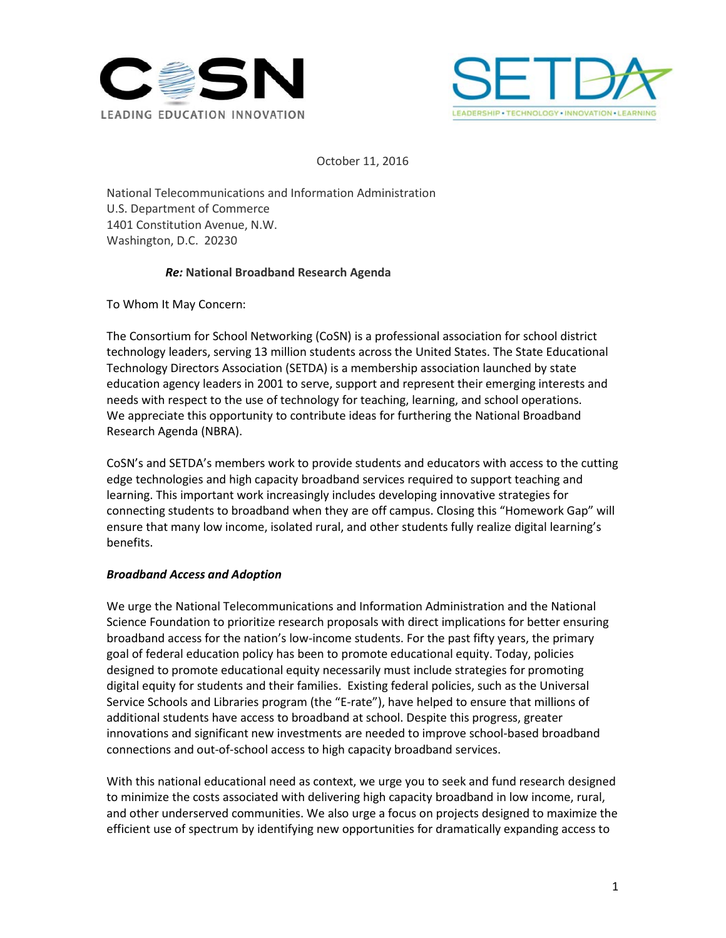



October 11, 2016

National Telecommunications and Information Administration U.S. Department of Commerce 1401 Constitution Avenue, N.W. Washington, D.C. 20230

## *Re:* **National Broadband Research Agenda**

To Whom It May Concern:

The Consortium for School Networking (CoSN) is a professional association for school district technology leaders, serving 13 million students across the United States. The State Educational Technology Directors Association (SETDA) is a membership association launched by state education agency leaders in 2001 to serve, support and represent their emerging interests and needs with respect to the use of technology for teaching, learning, and school operations. We appreciate this opportunity to contribute ideas for furthering the National Broadband Research Agenda (NBRA).

CoSN's and SETDA's members work to provide students and educators with access to the cutting edge technologies and high capacity broadband services required to support teaching and learning. This important work increasingly includes developing innovative strategies for connecting students to broadband when they are off campus. Closing this "Homework Gap" will ensure that many low income, isolated rural, and other students fully realize digital learning's benefits.

## *Broadband Access and Adoption*

We urge the National Telecommunications and Information Administration and the National Science Foundation to prioritize research proposals with direct implications for better ensuring broadband access for the nation's low-income students. For the past fifty years, the primary goal of federal education policy has been to promote educational equity. Today, policies designed to promote educational equity necessarily must include strategies for promoting digital equity for students and their families. Existing federal policies, such as the Universal Service Schools and Libraries program (the "E-rate"), have helped to ensure that millions of additional students have access to broadband at school. Despite this progress, greater innovations and significant new investments are needed to improve school-based broadband connections and out-of-school access to high capacity broadband services.

With this national educational need as context, we urge you to seek and fund research designed to minimize the costs associated with delivering high capacity broadband in low income, rural, and other underserved communities. We also urge a focus on projects designed to maximize the efficient use of spectrum by identifying new opportunities for dramatically expanding access to